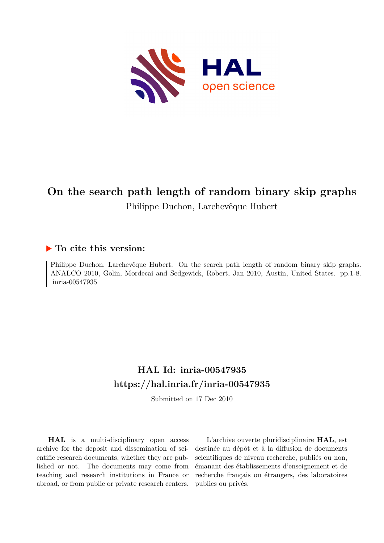

# **On the search path length of random binary skip graphs** Philippe Duchon, Larchevêque Hubert

### **To cite this version:**

Philippe Duchon, Larchevêque Hubert. On the search path length of random binary skip graphs. ANALCO 2010, Golin, Mordecai and Sedgewick, Robert, Jan 2010, Austin, United States. pp.1-8. inria-00547935

## **HAL Id: inria-00547935 <https://hal.inria.fr/inria-00547935>**

Submitted on 17 Dec 2010

**HAL** is a multi-disciplinary open access archive for the deposit and dissemination of scientific research documents, whether they are published or not. The documents may come from teaching and research institutions in France or abroad, or from public or private research centers.

L'archive ouverte pluridisciplinaire **HAL**, est destinée au dépôt et à la diffusion de documents scientifiques de niveau recherche, publiés ou non, émanant des établissements d'enseignement et de recherche français ou étrangers, des laboratoires publics ou privés.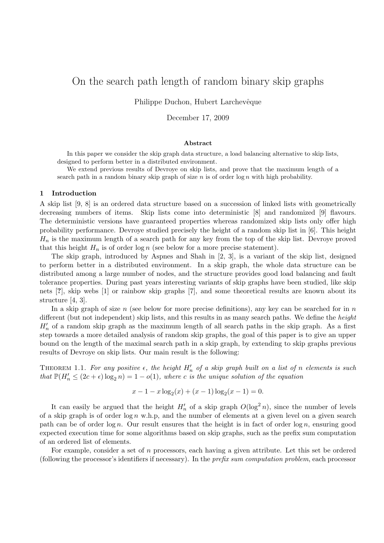## On the search path length of random binary skip graphs

Philippe Duchon, Hubert Larchevêque

December 17, 2009

#### Abstract

In this paper we consider the skip graph data structure, a load balancing alternative to skip lists, designed to perform better in a distributed environment.

We extend previous results of Devroye on skip lists, and prove that the maximum length of a search path in a random binary skip graph of size n is of order  $\log n$  with high probability.

#### 1 Introduction

A skip list [9, 8] is an ordered data structure based on a succession of linked lists with geometrically decreasing numbers of items. Skip lists come into deterministic [8] and randomized [9] flavours. The deterministic versions have guaranteed properties whereas randomized skip lists only offer high probability performance. Devroye studied precisely the height of a random skip list in [6]. This height  $H_n$  is the maximum length of a search path for any key from the top of the skip list. Devroye proved that this height  $H_n$  is of order  $\log n$  (see below for a more precise statement).

The skip graph, introduced by Aspnes and Shah in [2, 3], is a variant of the skip list, designed to perform better in a distributed environment. In a skip graph, the whole data structure can be distributed among a large number of nodes, and the structure provides good load balancing and fault tolerance properties. During past years interesting variants of skip graphs have been studied, like skip nets [?], skip webs [1] or rainbow skip graphs [7], and some theoretical results are known about its structure [4, 3].

In a skip graph of size n (see below for more precise definitions), any key can be searched for in  $n$ different (but not independent) skip lists, and this results in as many search paths. We define the *height*  $H'_n$  of a random skip graph as the maximum length of all search paths in the skip graph. As a first step towards a more detailed analysis of random skip graphs, the goal of this paper is to give an upper bound on the length of the maximal search path in a skip graph, by extending to skip graphs previous results of Devroye on skip lists. Our main result is the following:

THEOREM 1.1. For any positive  $\epsilon$ , the height  $H'_n$  of a skip graph built on a list of n elements is such *that*  $\mathbb{P}(H'_n \leq (2c + \epsilon) \log_2 n) = 1 - o(1)$ *, where c is the unique solution of the equation* 

$$
x - 1 - x \log_2(x) + (x - 1) \log_2(x - 1) = 0.
$$

It can easily be argued that the height  $H'_n$  of a skip graph  $O(\log^2 n)$ , since the number of levels of a skip graph is of order  $\log n$  w.h.p, and the number of elements at a given level on a given search path can be of order  $\log n$ . Our result ensures that the height is in fact of order  $\log n$ , ensuring good expected execution time for some algorithms based on skip graphs, such as the prefix sum computation of an ordered list of elements.

For example, consider a set of n processors, each having a given attribute. Let this set be ordered (following the processor's identifiers if necessary). In the *prefix sum computation problem*, each processor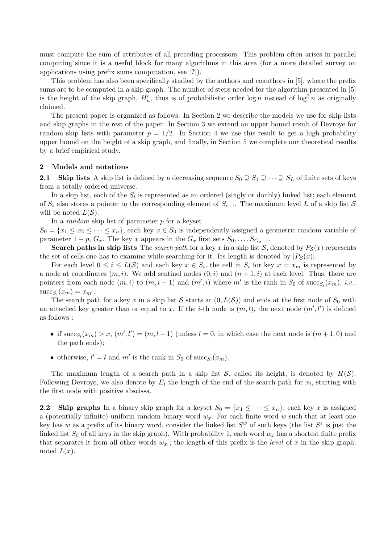must compute the sum of attributes of all preceding processors. This problem often arises in parallel computing since it is a useful block for many algorithms in this area (for a more detailed survey on applications using prefix sums computation, see [?]).

This problem has also been specifically studied by the authors and coauthors in [5], where the prefix sums are to be computed in a skip graph. The number of steps needed for the algorithm presented in [5] is the height of the skip graph,  $H'_n$ , thus is of probabilistic order  $\log n$  instead of  $\log^2 n$  as originally claimed.

The present paper is organized as follows. In Section 2 we describe the models we use for skip lists and skip graphs in the rest of the paper. In Section 3 we extend an upper bound result of Devroye for random skip lists with parameter  $p = 1/2$ . In Section 4 we use this result to get a high probability upper bound on the height of a skip graph, and finally, in Section 5 we complete our theoretical results by a brief empirical study.

#### 2 Models and notations

2.1 Skip lists A skip list is defined by a decreasing sequence  $S_0 \supseteq S_1 \supseteq \cdots \supseteq S_L$  of finite sets of keys from a totally ordered universe.

In a skip list, each of the  $S_i$  is represented as an ordered (singly or doubly) linked list; each element of  $S_i$  also stores a pointer to the corresponding element of  $S_{i-1}$ . The maximum level L of a skip list S will be noted  $L(S)$ .

In a *random* skip list of parameter p for a keyset

 $S_0 = \{x_1 \le x_2 \le \cdots \le x_n\}$ , each key  $x \in S_0$  is independently assigned a geometric random variable of parameter  $1 - p$ ,  $G_x$ . The key x appears in the  $G_x$  first sets  $S_0, \ldots, S_{G_x-1}$ .

**Search paths in skip lists** The *search path* for a key x in a skip list S, denoted by  $P_S(x)$  represents the set of cells one has to examine while searching for it. Its length is denoted by  $|P_{\mathcal{S}}(x)|$ .

For each level  $0 \leq i \leq L(S)$  and each key  $x \in S_i$ , the cell in  $S_i$  for key  $x = x_m$  is represented by a node at coordinates  $(m, i)$ . We add sentinel nodes  $(0, i)$  and  $(n + 1, i)$  at each level. Thus, there are pointers from each node  $(m, i)$  to  $(m, i - 1)$  and  $(m', i)$  where m' is the rank in  $S_0$  of succ<sub>S<sub>i</sub></sub> $(x_m)$ , *i.e.*,  $\mathrm{succ}_{S_i}(x_m) = x_{m'}$ .

The search path for a key x in a skip list S starts at  $(0, L(S))$  and ends at the first node of  $S_0$  with an attached key greater than or equal to x. If the *i*-th node is  $(m, l)$ , the next node  $(m', l')$  is defined as follows :

- if  $succ_{S_l}(x_m) > x$ ,  $(m', l') = (m, l 1)$  (unless  $l = 0$ , in which case the next node is  $(m + 1, 0)$  and the path ends);
- otherwise,  $l' = l$  and  $m'$  is the rank in  $S_0$  of succ<sub>S<sub>l</sub></sub> $(x_m)$ .

The maximum length of a search path in a skip list  $S$ , called its height, is denoted by  $H(S)$ . Following Devroye, we also denote by  $E_i$  the length of the end of the search path for  $x_i$ , starting with the first node with positive abscissa.

2.2 Skip graphs In a binary skip graph for a keyset  $S_0 = \{x_1 \leq \cdots \leq x_n\}$ , each key x is assigned a (potentially infinite) uniform random binary word  $w_x$ . For each finite word w such that at least one key has w as a prefix of its binary word, consider the linked list  $S^w$  of such keys (the list  $S^{\epsilon}$  is just the linked list  $S_0$  of all keys in the skip graph). With probability 1, each word  $w_x$  has a shortest finite prefix that separates it from all other words  $w_{x_i}$ ; the length of this prefix is the *level* of x in the skip graph, noted  $L(x)$ .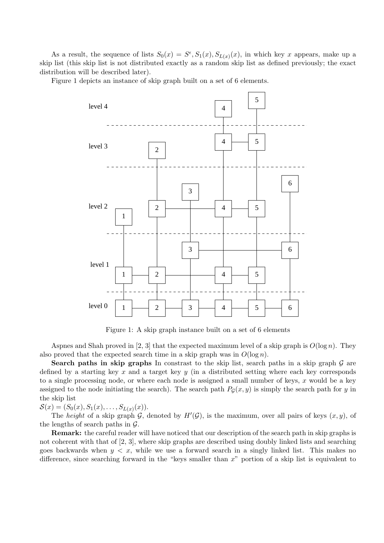As a result, the sequence of lists  $S_0(x) = S^{\epsilon}, S_1(x), S_{L(x)}(x)$ , in which key x appears, make up a skip list (this skip list is not distributed exactly as a random skip list as defined previously; the exact distribution will be described later).

Figure 1 depicts an instance of skip graph built on a set of 6 elements.



Figure 1: A skip graph instance built on a set of 6 elements

Aspnes and Shah proved in [2, 3] that the expected maximum level of a skip graph is  $O(\log n)$ . They also proved that the expected search time in a skip graph was in  $O(\log n)$ .

**Search paths in skip graphs** In constrast to the skip list, search paths in a skip graph  $\mathcal{G}$  are defined by a starting key  $x$  and a target key  $y$  (in a distributed setting where each key corresponds to a single processing node, or where each node is assigned a small number of keys,  $x$  would be a key assigned to the node initiating the search). The search path  $P<sub>G</sub>(x, y)$  is simply the search path for y in the skip list

 $S(x) = (S_0(x), S_1(x), \ldots, S_{L(x)}(x)).$ 

The *height* of a skip graph  $G$ , denoted by  $H'(\mathcal{G})$ , is the maximum, over all pairs of keys  $(x, y)$ , of the lengths of search paths in  $\mathcal{G}$ .

Remark: the careful reader will have noticed that our description of the search path in skip graphs is not coherent with that of [2, 3], where skip graphs are described using doubly linked lists and searching goes backwards when  $y < x$ , while we use a forward search in a singly linked list. This makes no difference, since searching forward in the "keys smaller than  $x$ " portion of a skip list is equivalent to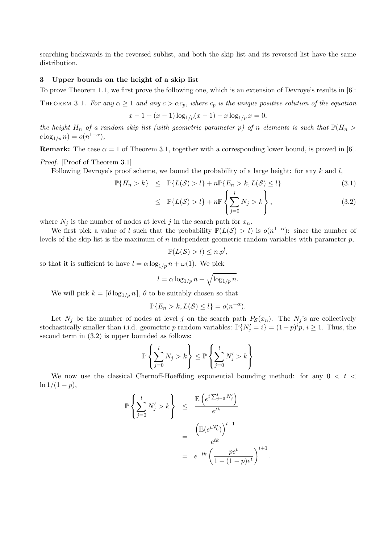searching backwards in the reversed sublist, and both the skip list and its reversed list have the same distribution.

#### 3 Upper bounds on the height of a skip list

To prove Theorem 1.1, we first prove the following one, which is an extension of Devroye's results in [6]:

THEOREM 3.1. *For any*  $\alpha \geq 1$  *and any*  $c > \alpha c_p$ *, where*  $c_p$  *is the unique positive solution of the equation* 

$$
x - 1 + (x - 1) \log_{1/p}(x - 1) - x \log_{1/p} x = 0,
$$

*the height*  $H_n$  *of a random skip list (with geometric parameter p) of n elements is such that*  $\mathbb{P}(H_n >$  $c \log_{1/p} n) = o(n^{1-\alpha}),$ 

**Remark:** The case  $\alpha = 1$  of Theorem 3.1, together with a corresponding lower bound, is proved in [6]. *Proof.* [Proof of Theorem 3.1]

Following Devroye's proof scheme, we bound the probability of a large height: for any k and  $l$ ,

$$
\mathbb{P}\{H_n > k\} \leq \mathbb{P}\{L(\mathcal{S}) > l\} + n\mathbb{P}\{E_n > k, L(\mathcal{S}) \leq l\}
$$
\n(3.1)

$$
\leq \mathbb{P}\{L(\mathcal{S}) > l\} + n \mathbb{P}\left\{\sum_{j=0}^{l} N_j > k\right\},\tag{3.2}
$$

.

where  $N_j$  is the number of nodes at level j in the search path for  $x_n$ .

We first pick a value of l such that the probability  $\mathbb{P}(L(\mathcal{S}) > l)$  is  $o(n^{1-\alpha})$ : since the number of levels of the skip list is the maximum of n independent geometric random variables with parameter  $p$ ,

$$
\mathbb{P}(L(\mathcal{S}) > l) \leq n.p^l,
$$

so that it is sufficient to have  $l = \alpha \log_{1/p} n + \omega(1)$ . We pick

$$
l = \alpha \log_{1/p} n + \sqrt{\log_{1/p} n}.
$$

We will pick  $k = \lfloor \theta \log_{1/p} n \rfloor$ ,  $\theta$  to be suitably chosen so that

$$
\mathbb{P}\{E_n > k, L(S) \le l\} = o(n^{-\alpha}).
$$

Let  $N_j$  be the number of nodes at level j on the search path  $P_{\mathcal{S}}(x_n)$ . The  $N_j$ 's are collectively stochastically smaller than i.i.d. geometric p random variables:  $\mathbb{P}\{N'_j = i\} = (1-p)^i p, i \ge 1$ . Thus, the second term in (3.2) is upper bounded as follows:

$$
\mathbb{P}\left\{\sum_{j=0}^{l} N_j > k\right\} \le \mathbb{P}\left\{\sum_{j=0}^{l} N'_j > k\right\}
$$

We now use the classical Chernoff-Hoeffding exponential bounding method: for any  $0 < t <$  $\ln 1/(1-p),$ 

$$
\mathbb{P}\left\{\sum_{j=0}^{l} N'_j > k\right\} \leq \frac{\mathbb{E}\left(e^{t\sum_{j=0}^{l} N'_j}\right)}{e^{tk}}
$$

$$
= \frac{\left(\mathbb{E}(e^{tN'_0})\right)^{l+1}}{e^{tk}}
$$

$$
= e^{-tk} \left(\frac{pe^t}{1-(1-p)e^t}\right)^{l+1}
$$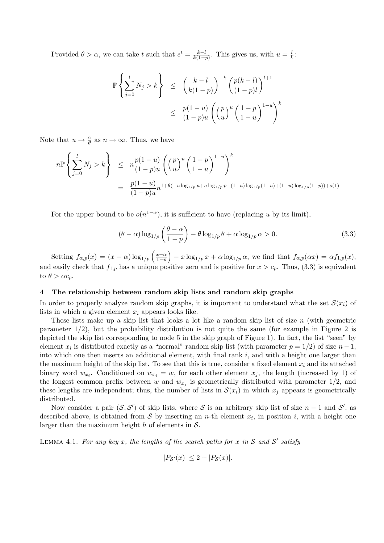Provided  $\theta > \alpha$ , we can take t such that  $e^t = \frac{k-l}{k(1-\alpha)}$  $\frac{k-l}{k(1-p)}$ . This gives us, with  $u=\frac{l}{k}$  $\frac{l}{k}$ :

$$
\mathbb{P}\left\{\sum_{j=0}^{l} N_j > k\right\} \leq \left(\frac{k-l}{k(1-p)}\right)^{-k} \left(\frac{p(k-l)}{(1-p)l}\right)^{l+1} \leq \frac{p(1-u)}{(1-p)u} \left(\left(\frac{p}{u}\right)^{u} \left(\frac{1-p}{1-u}\right)^{1-u}\right)^{k}
$$

Note that  $u \to \frac{\alpha}{\theta}$  as  $n \to \infty$ . Thus, we have

$$
n\mathbb{P}\left\{\sum_{j=0}^{l} N_j > k\right\} \leq n\frac{p(1-u)}{(1-p)u} \left(\left(\frac{p}{u}\right)^u \left(\frac{1-p}{1-u}\right)^{1-u}\right)^k
$$
  
= 
$$
\frac{p(1-u)}{(1-p)u} n^{1+\theta(-u\log_{1/p}u+u\log_{1/p}p-(1-u)\log_{1/p}(1-u)+(1-u)\log_{1/p}(1-p))+o(1)}
$$

For the upper bound to be  $o(n^{1-\alpha})$ , it is sufficient to have (replacing u by its limit),

$$
(\theta - \alpha) \log_{1/p} \left( \frac{\theta - \alpha}{1 - p} \right) - \theta \log_{1/p} \theta + \alpha \log_{1/p} \alpha > 0. \tag{3.3}
$$

Setting  $f_{\alpha,p}(x) = (x - \alpha) \log_{1/p} \left( \frac{x - \alpha}{1 - p} \right)$  $\left(\frac{x-\alpha}{1-p}\right) - x \log_{1/p} x + \alpha \log_{1/p} \alpha$ , we find that  $f_{\alpha,p}(\alpha x) = \alpha f_{1,p}(x)$ , and easily check that  $f_{1,p}$  has a unique positive zero and is positive for  $x > c_p$ . Thus, (3.3) is equivalent to  $\theta > \alpha c_p$ .

#### 4 The relationship between random skip lists and random skip graphs

In order to properly analyze random skip graphs, it is important to understand what the set  $\mathcal{S}(x_i)$  of lists in which a given element  $x_i$  appears looks like.

These lists make up a skip list that looks a lot like a random skip list of size  $n$  (with geometric parameter  $1/2$ ), but the probability distribution is not quite the same (for example in Figure 2 is depicted the skip list corresponding to node 5 in the skip graph of Figure 1). In fact, the list "seen" by element  $x_i$  is distributed exactly as a "normal" random skip list (with parameter  $p = 1/2$ ) of size  $n - 1$ , into which one then inserts an additional element, with final rank  $i$ , and with a height one larger than the maximum height of the skip list. To see that this is true, consider a fixed element  $x_i$  and its attached binary word  $w_{x_i}$ . Conditioned on  $w_{x_i} = w$ , for each other element  $x_j$ , the length (increased by 1) of the longest common prefix between w and  $w_{x_j}$  is geometrically distributed with parameter 1/2, and these lengths are independent; thus, the number of lists in  $\mathcal{S}(x_i)$  in which  $x_j$  appears is geometrically distributed.

Now consider a pair  $(S, S')$  of skip lists, where S is an arbitrary skip list of size  $n-1$  and S', as described above, is obtained from S by inserting an *n*-th element  $x_i$ , in position i, with a height one larger than the maximum height h of elements in  $S$ .

LEMMA 4.1. For any key x, the lengths of the search paths for x in S and S' satisfy

$$
|P_{\mathcal{S}'}(x)| \le 2 + |P_{\mathcal{S}}(x)|.
$$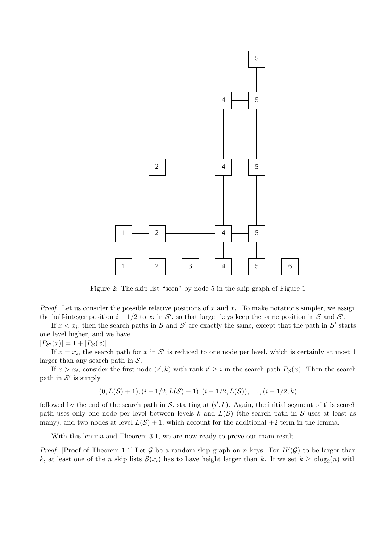

Figure 2: The skip list "seen" by node 5 in the skip graph of Figure 1

*Proof.* Let us consider the possible relative positions of x and  $x_i$ . To make notations simpler, we assign the half-integer position  $i - 1/2$  to  $x_i$  in  $\mathcal{S}'$ , so that larger keys keep the same position in  $\mathcal{S}$  and  $\mathcal{S}'$ .

If  $x < x_i$ , then the search paths in S and S' are exactly the same, except that the path in S' starts one level higher, and we have

#### $|P_{\mathcal{S}'}(x)| = 1 + |P_{\mathcal{S}}(x)|.$

If  $x = x_i$ , the search path for x in S' is reduced to one node per level, which is certainly at most 1 larger than any search path in  $S$ .

If  $x > x_i$ , consider the first node  $(i',k)$  with rank  $i' \geq i$  in the search path  $P_{\mathcal{S}}(x)$ . Then the search path in  $S'$  is simply

$$
(0, L(S) + 1), (i - 1/2, L(S) + 1), (i - 1/2, L(S)), \ldots, (i - 1/2, k)
$$

followed by the end of the search path in  $\mathcal{S}$ , starting at  $(i',k)$ . Again, the initial segment of this search path uses only one node per level between levels k and  $L(S)$  (the search path in S uses at least as many), and two nodes at level  $L(S) + 1$ , which account for the additional  $+2$  term in the lemma.

With this lemma and Theorem 3.1, we are now ready to prove our main result.

*Proof.* [Proof of Theorem 1.1] Let G be a random skip graph on n keys. For  $H'(\mathcal{G})$  to be larger than k, at least one of the n skip lists  $\mathcal{S}(x_i)$  has to have height larger than k. If we set  $k \geq c \log_2(n)$  with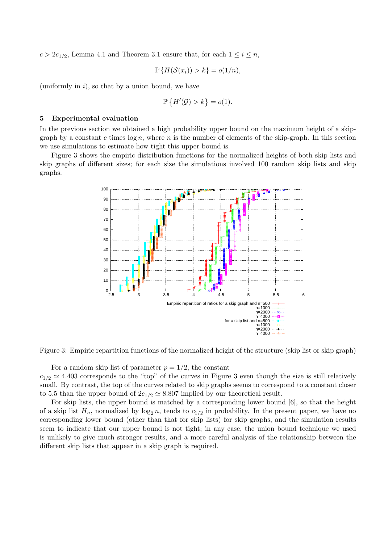$c > 2c_{1/2}$ , Lemma 4.1 and Theorem 3.1 ensure that, for each  $1 \leq i \leq n$ ,

$$
\mathbb{P}\left\{H(\mathcal{S}(x_i)) > k\right\} = o(1/n),
$$

(uniformly in  $i$ ), so that by a union bound, we have

$$
\mathbb{P}\left\{H'(\mathcal{G}) > k\right\} = o(1).
$$

#### 5 Experimental evaluation

In the previous section we obtained a high probability upper bound on the maximum height of a skipgraph by a constant c times  $\log n$ , where n is the number of elements of the skip-graph. In this section we use simulations to estimate how tight this upper bound is.

Figure 3 shows the empiric distribution functions for the normalized heights of both skip lists and skip graphs of different sizes; for each size the simulations involved 100 random skip lists and skip graphs.



Figure 3: Empiric repartition functions of the normalized height of the structure (skip list or skip graph)

For a random skip list of parameter  $p = 1/2$ , the constant  $c_{1/2} \simeq 4.403$  corresponds to the "top" of the curves in Figure 3 even though the size is still relatively small. By contrast, the top of the curves related to skip graphs seems to correspond to a constant closer to 5.5 than the upper bound of  $2c_{1/2} \approx 8.807$  implied by our theoretical result.

For skip lists, the upper bound is matched by a corresponding lower bound [6], so that the height of a skip list  $H_n$ , normalized by  $\log_2 n$ , tends to  $c_{1/2}$  in probability. In the present paper, we have no corresponding lower bound (other than that for skip lists) for skip graphs, and the simulation results seem to indicate that our upper bound is not tight; in any case, the union bound technique we used is unlikely to give much stronger results, and a more careful analysis of the relationship between the different skip lists that appear in a skip graph is required.